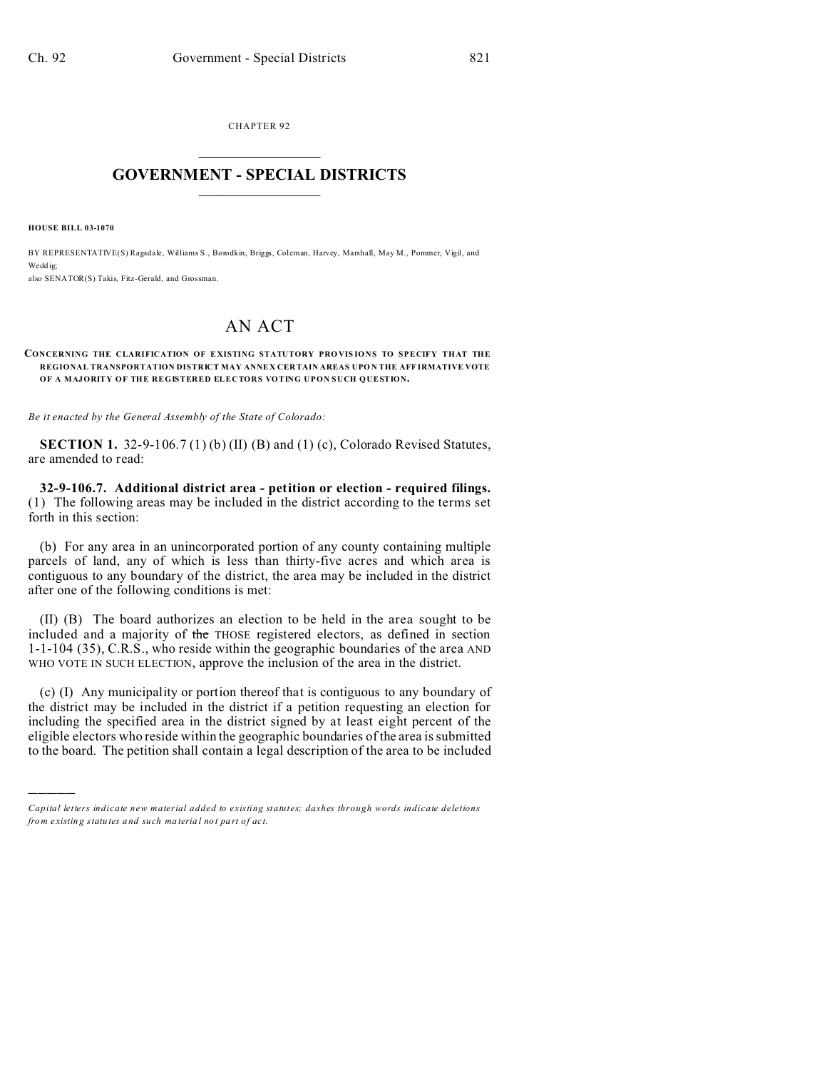CHAPTER 92  $\overline{\phantom{a}}$  , where  $\overline{\phantom{a}}$ 

## **GOVERNMENT - SPECIAL DISTRICTS**  $\_$   $\_$   $\_$   $\_$   $\_$   $\_$   $\_$   $\_$   $\_$

**HOUSE BILL 03-1070**

)))))

BY REPRESENTATIVE(S) Ragsdale, Williams S., Borodkin, Briggs, Coleman, Harvey, Marshall, May M., Pommer, Vigil, and We dd ig: also SENATOR(S) Takis, Fitz-Gerald, and Grossman.

## AN ACT

## **CONCERNING THE CLARIFICATION OF E XISTING STATUTORY PRO VIS IONS TO SPECIFY THAT THE REGIONAL TRANSPORTATION DISTRICT MAY ANNE X CER TAIN AREAS UPO N THE AFF IRMATIVE VOTE OF A MAJORITY OF THE REGISTERED ELECTORS VOTING UPON SUCH QUESTION.**

*Be it enacted by the General Assembly of the State of Colorado:*

**SECTION 1.** 32-9-106.7 (1) (b) (II) (B) and (1) (c), Colorado Revised Statutes, are amended to read:

**32-9-106.7. Additional district area - petition or election - required filings.** (1) The following areas may be included in the district according to the terms set forth in this section:

(b) For any area in an unincorporated portion of any county containing multiple parcels of land, any of which is less than thirty-five acres and which area is contiguous to any boundary of the district, the area may be included in the district after one of the following conditions is met:

(II) (B) The board authorizes an election to be held in the area sought to be included and a majority of the THOSE registered electors, as defined in section 1-1-104 (35), C.R.S., who reside within the geographic boundaries of the area AND WHO VOTE IN SUCH ELECTION, approve the inclusion of the area in the district.

(c) (I) Any municipality or portion thereof that is contiguous to any boundary of the district may be included in the district if a petition requesting an election for including the specified area in the district signed by at least eight percent of the eligible electors who reside within the geographic boundaries of the area is submitted to the board. The petition shall contain a legal description of the area to be included

*Capital letters indicate new material added to existing statutes; dashes through words indicate deletions from e xistin g statu tes a nd such ma teria l no t pa rt of ac t.*